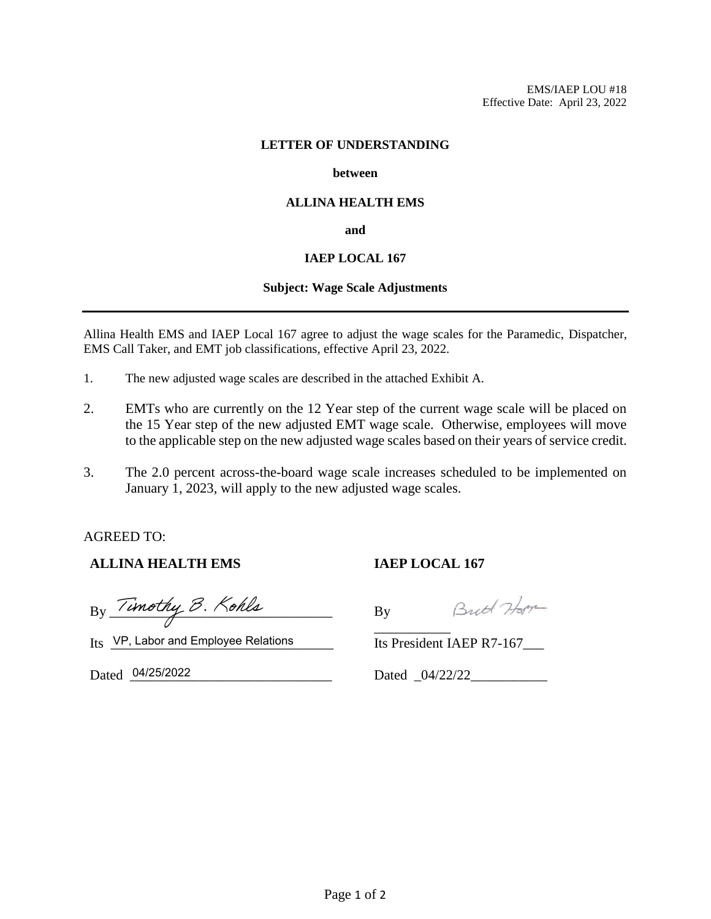#### **LETTER OF UNDERSTANDING**

#### **between**

## **ALLINA HEALTH EMS**

**and**

## **IAEP LOCAL 167**

### **Subject: Wage Scale Adjustments**

Allina Health EMS and IAEP Local 167 agree to adjust the wage scales for the Paramedic, Dispatcher, EMS Call Taker, and EMT job classifications, effective April 23, 2022.

- 1. The new adjusted wage scales are described in the attached Exhibit A.
- 2. EMTs who are currently on the 12 Year step of the current wage scale will be placed on the 15 Year step of the new adjusted EMT wage scale. Otherwise, employees will move to the applicable step on the new adjusted wage scales based on their years of service credit.
- 3. The 2.0 percent across-the-board wage scale increases scheduled to be implemented on January 1, 2023, will apply to the new adjusted wage scales.

AGREED TO:

# **ALLINA HEALTH EMS**

 $By \frac{1}{\sqrt{2}}$ 

Britt Hope By \_\_\_\_\_\_\_\_\_\_\_

**IAEP LOCAL 167**

Its VP, Labor and Employee Relations

Dated \_\_\_\_\_\_\_\_\_\_\_\_\_\_\_\_\_\_\_\_\_\_\_\_\_\_\_\_\_ 04/25/2022

Its President IAEP R7-167\_\_\_

Dated 04/22/22